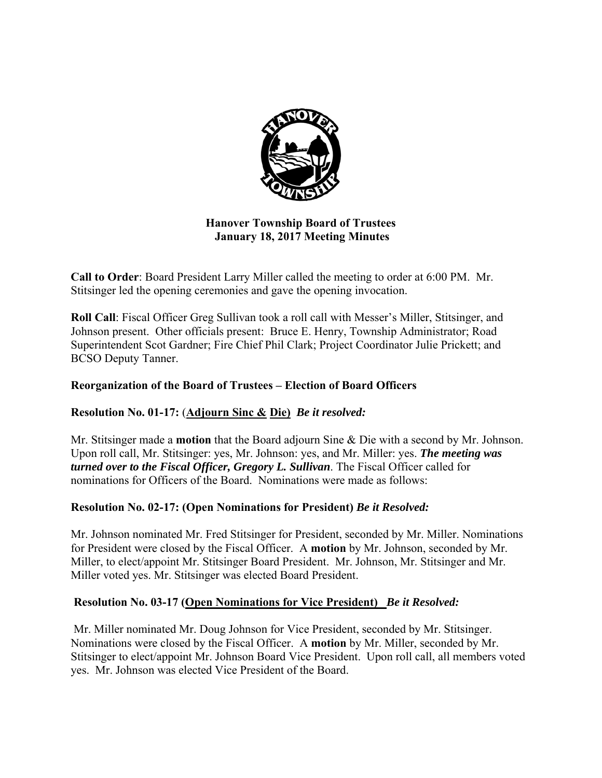

## **Hanover Township Board of Trustees January 18, 2017 Meeting Minutes**

**Call to Order**: Board President Larry Miller called the meeting to order at 6:00 PM. Mr. Stitsinger led the opening ceremonies and gave the opening invocation.

**Roll Call**: Fiscal Officer Greg Sullivan took a roll call with Messer's Miller, Stitsinger, and Johnson present. Other officials present: Bruce E. Henry, Township Administrator; Road Superintendent Scot Gardner; Fire Chief Phil Clark; Project Coordinator Julie Prickett; and BCSO Deputy Tanner.

## **Reorganization of the Board of Trustees – Election of Board Officers**

## **Resolution No. 01-17:** (**Adjourn Sinc & Die)** *Be it resolved:*

Mr. Stitsinger made a **motion** that the Board adjourn Sine & Die with a second by Mr. Johnson. Upon roll call, Mr. Stitsinger: yes, Mr. Johnson: yes, and Mr. Miller: yes. *The meeting was turned over to the Fiscal Officer, Gregory L. Sullivan*. The Fiscal Officer called for nominations for Officers of the Board. Nominations were made as follows:

## **Resolution No. 02-17: (Open Nominations for President)** *Be it Resolved:*

Mr. Johnson nominated Mr. Fred Stitsinger for President, seconded by Mr. Miller. Nominations for President were closed by the Fiscal Officer. A **motion** by Mr. Johnson, seconded by Mr. Miller, to elect/appoint Mr. Stitsinger Board President. Mr. Johnson, Mr. Stitsinger and Mr. Miller voted yes. Mr. Stitsinger was elected Board President.

## **Resolution No. 03-17 (Open Nominations for Vice President)** *Be it Resolved:*

 Mr. Miller nominated Mr. Doug Johnson for Vice President, seconded by Mr. Stitsinger. Nominations were closed by the Fiscal Officer. A **motion** by Mr. Miller, seconded by Mr. Stitsinger to elect/appoint Mr. Johnson Board Vice President. Upon roll call, all members voted yes. Mr. Johnson was elected Vice President of the Board.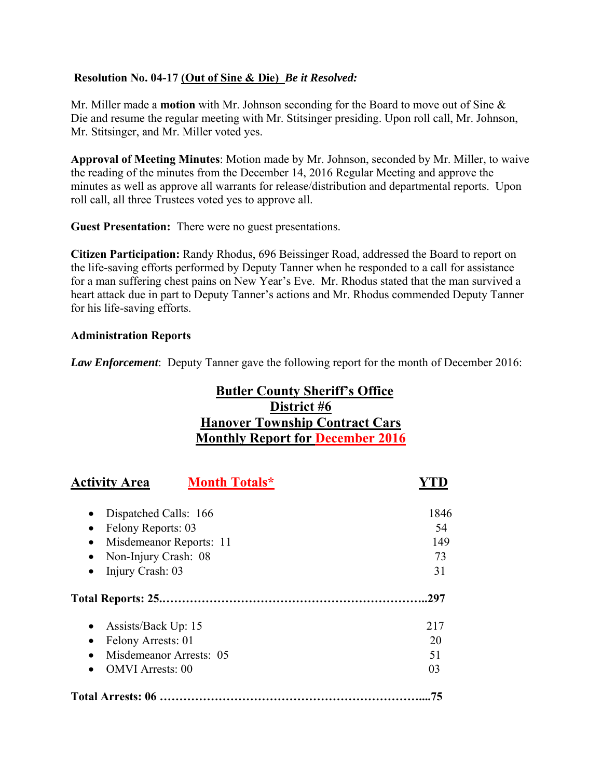## **Resolution No. 04-17 (Out of Sine & Die)** *Be it Resolved:*

Mr. Miller made a **motion** with Mr. Johnson seconding for the Board to move out of Sine & Die and resume the regular meeting with Mr. Stitsinger presiding. Upon roll call, Mr. Johnson, Mr. Stitsinger, and Mr. Miller voted yes.

**Approval of Meeting Minutes**: Motion made by Mr. Johnson, seconded by Mr. Miller, to waive the reading of the minutes from the December 14, 2016 Regular Meeting and approve the minutes as well as approve all warrants for release/distribution and departmental reports. Upon roll call, all three Trustees voted yes to approve all.

**Guest Presentation:** There were no guest presentations.

**Citizen Participation:** Randy Rhodus, 696 Beissinger Road, addressed the Board to report on the life-saving efforts performed by Deputy Tanner when he responded to a call for assistance for a man suffering chest pains on New Year's Eve. Mr. Rhodus stated that the man survived a heart attack due in part to Deputy Tanner's actions and Mr. Rhodus commended Deputy Tanner for his life-saving efforts.

## **Administration Reports**

*Law Enforcement*: Deputy Tanner gave the following report for the month of December 2016:

# **Butler County Sheriff's Office District #6 Hanover Township Contract Cars Monthly Report for December 2016**

| <b>Month Totals*</b><br><b>Activity Area</b> |      |
|----------------------------------------------|------|
| Dispatched Calls: 166                        | 1846 |
| Felony Reports: 03                           | 54   |
| Misdemeanor Reports: 11                      | 149  |
| Non-Injury Crash: 08                         | 73   |
| Injury Crash: 03                             | 31   |
|                                              | 297  |
| Assists/Back Up: 15                          | 217  |
| Felony Arrests: 01                           | 20   |
| Misdemeanor Arrests: 05                      | 51   |
| <b>OMVI</b> Arrests: 00                      | 03   |
|                                              | 75   |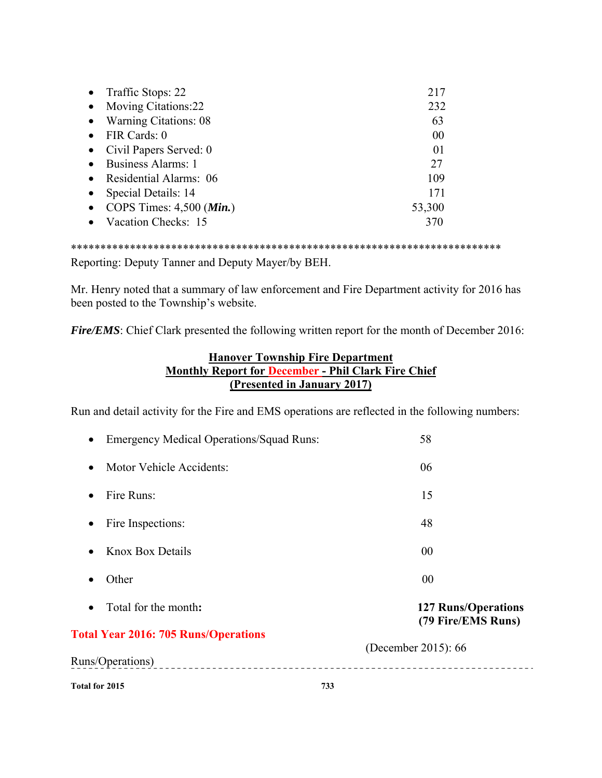|           | • Traffic Stops: 22                 | 217    |
|-----------|-------------------------------------|--------|
| $\bullet$ | <b>Moving Citations:22</b>          | 232    |
|           | • Warning Citations: 08             | 63     |
|           | FIR Cards: 0                        | 00     |
|           | Civil Papers Served: 0              | 01     |
| $\bullet$ | <b>Business Alarms: 1</b>           | 27     |
|           | Residential Alarms: 06              | 109    |
|           | Special Details: 14                 | 171    |
|           | COPS Times: $4,500$ ( <i>Min.</i> ) | 53,300 |
|           | Vacation Checks: 15                 |        |

\*\*\*\*\*\*\*\*\*\*\*\*\*\*\*\*\*\*\*\*\*\*\*\*\*\*\*\*\*\*\*\*\*\*\*\*\*\*\*\*\*\*\*\*\*\*\*\*\*\*\*\*\*\*\*\*\*\*\*\*\*\*\*\*\*\*\*\*\*\*\*\*\*

Reporting: Deputy Tanner and Deputy Mayer/by BEH.

Mr. Henry noted that a summary of law enforcement and Fire Department activity for 2016 has been posted to the Township's website.

*Fire/EMS*: Chief Clark presented the following written report for the month of December 2016:

## **Hanover Township Fire Department Monthly Report for December - Phil Clark Fire Chief (Presented in January 2017)**

Run and detail activity for the Fire and EMS operations are reflected in the following numbers:

| Total for 2015                                               | 733                                              |
|--------------------------------------------------------------|--------------------------------------------------|
| Runs/Operations)                                             |                                                  |
| <b>Total Year 2016: 705 Runs/Operations</b>                  | (December 2015): 66                              |
| Total for the month:<br>$\bullet$                            | <b>127 Runs/Operations</b><br>(79 Fire/EMS Runs) |
| Other<br>$\bullet$                                           | 00                                               |
| <b>Knox Box Details</b><br>$\bullet$                         | 00                                               |
| Fire Inspections:<br>٠                                       | 48                                               |
| Fire Runs:<br>$\bullet$                                      | 15                                               |
| Motor Vehicle Accidents:<br>$\bullet$                        | 06                                               |
| <b>Emergency Medical Operations/Squad Runs:</b><br>$\bullet$ | 58                                               |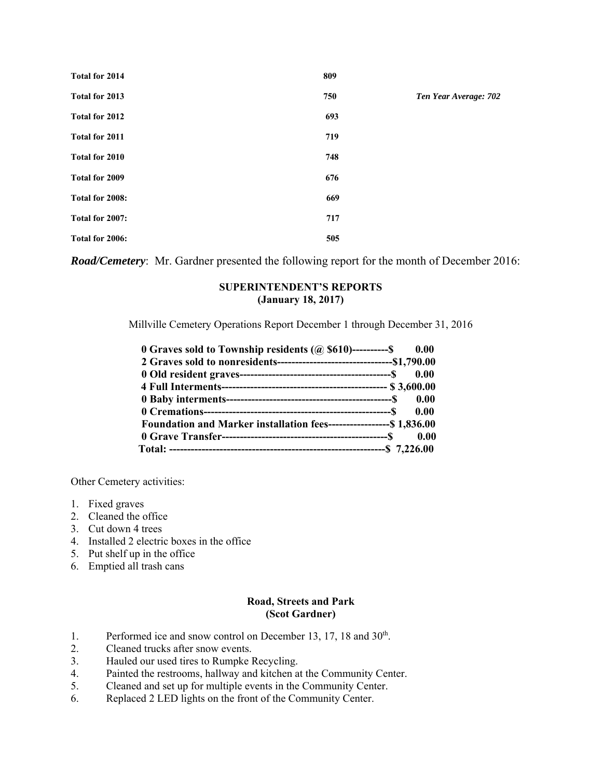| Total for 2014  | 809 |                       |
|-----------------|-----|-----------------------|
| Total for 2013  | 750 | Ten Year Average: 702 |
| Total for 2012  | 693 |                       |
| Total for 2011  | 719 |                       |
| Total for 2010  | 748 |                       |
| Total for 2009  | 676 |                       |
| Total for 2008: | 669 |                       |
| Total for 2007: | 717 |                       |
| Total for 2006: | 505 |                       |

*Road/Cemetery*: Mr. Gardner presented the following report for the month of December 2016:

#### **SUPERINTENDENT'S REPORTS (January 18, 2017)**

Millville Cemetery Operations Report December 1 through December 31, 2016

| 0.00 O Graves sold to Township residents $(a)$ \$610)----------\$ 0.00 |      |
|------------------------------------------------------------------------|------|
|                                                                        |      |
|                                                                        |      |
|                                                                        |      |
|                                                                        |      |
|                                                                        | 0.00 |
| Foundation and Marker installation fees-------------------\$1,836.00   |      |
|                                                                        |      |
|                                                                        |      |

Other Cemetery activities:

- 1. Fixed graves
- 2. Cleaned the office
- 3. Cut down 4 trees
- 4. Installed 2 electric boxes in the office
- 5. Put shelf up in the office
- 6. Emptied all trash cans

#### **Road, Streets and Park (Scot Gardner)**

- 1. Performed ice and snow control on December 13, 17, 18 and  $30<sup>th</sup>$ .
- 2. Cleaned trucks after snow events.
- 3. Hauled our used tires to Rumpke Recycling.
- 4. Painted the restrooms, hallway and kitchen at the Community Center.
- 5. Cleaned and set up for multiple events in the Community Center.
- 6. Replaced 2 LED lights on the front of the Community Center.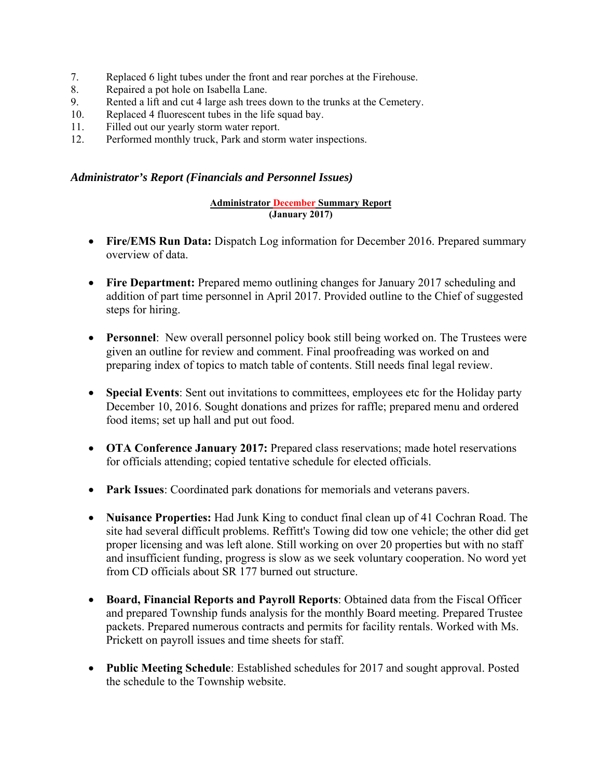- 7. Replaced 6 light tubes under the front and rear porches at the Firehouse.
- 8. Repaired a pot hole on Isabella Lane.
- 9. Rented a lift and cut 4 large ash trees down to the trunks at the Cemetery.
- 10. Replaced 4 fluorescent tubes in the life squad bay.
- 11. Filled out our yearly storm water report.
- 12. Performed monthly truck, Park and storm water inspections.

### *Administrator's Report (Financials and Personnel Issues)*

#### **Administrator December Summary Report (January 2017)**

- **Fire/EMS Run Data:** Dispatch Log information for December 2016. Prepared summary overview of data.
- **Fire Department:** Prepared memo outlining changes for January 2017 scheduling and addition of part time personnel in April 2017. Provided outline to the Chief of suggested steps for hiring.
- **Personnel**: New overall personnel policy book still being worked on. The Trustees were given an outline for review and comment. Final proofreading was worked on and preparing index of topics to match table of contents. Still needs final legal review.
- **Special Events**: Sent out invitations to committees, employees etc for the Holiday party December 10, 2016. Sought donations and prizes for raffle; prepared menu and ordered food items; set up hall and put out food.
- **OTA Conference January 2017:** Prepared class reservations; made hotel reservations for officials attending; copied tentative schedule for elected officials.
- **Park Issues**: Coordinated park donations for memorials and veterans pavers.
- **Nuisance Properties:** Had Junk King to conduct final clean up of 41 Cochran Road. The site had several difficult problems. Reffitt's Towing did tow one vehicle; the other did get proper licensing and was left alone. Still working on over 20 properties but with no staff and insufficient funding, progress is slow as we seek voluntary cooperation. No word yet from CD officials about SR 177 burned out structure.
- **Board, Financial Reports and Payroll Reports**: Obtained data from the Fiscal Officer and prepared Township funds analysis for the monthly Board meeting. Prepared Trustee packets. Prepared numerous contracts and permits for facility rentals. Worked with Ms. Prickett on payroll issues and time sheets for staff.
- **Public Meeting Schedule**: Established schedules for 2017 and sought approval. Posted the schedule to the Township website.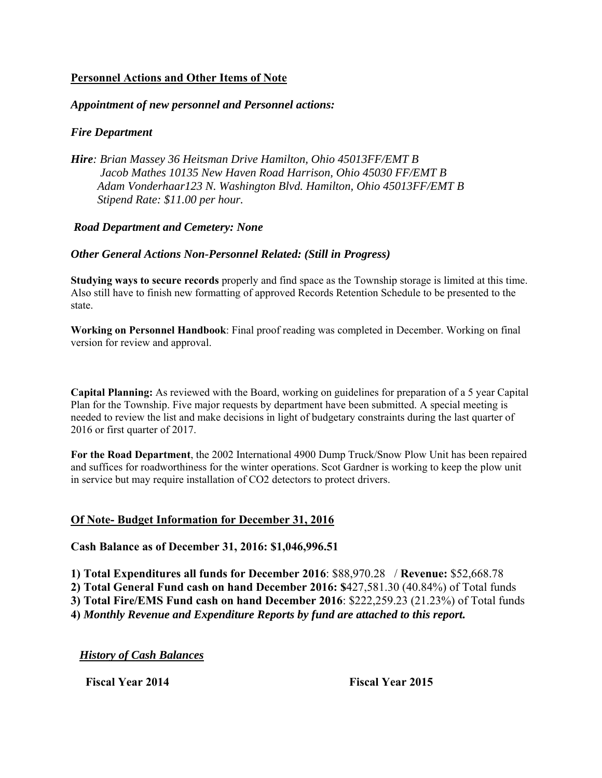## **Personnel Actions and Other Items of Note**

### *Appointment of new personnel and Personnel actions:*

## *Fire Department*

*Hire: Brian Massey 36 Heitsman Drive Hamilton, Ohio 45013FF/EMT B Jacob Mathes 10135 New Haven Road Harrison, Ohio 45030 FF/EMT B Adam Vonderhaar123 N. Washington Blvd. Hamilton, Ohio 45013FF/EMT B Stipend Rate: \$11.00 per hour.* 

### *Road Department and Cemetery: None*

## *Other General Actions Non-Personnel Related: (Still in Progress)*

**Studying ways to secure records** properly and find space as the Township storage is limited at this time. Also still have to finish new formatting of approved Records Retention Schedule to be presented to the state.

**Working on Personnel Handbook**: Final proof reading was completed in December. Working on final version for review and approval.

**Capital Planning:** As reviewed with the Board, working on guidelines for preparation of a 5 year Capital Plan for the Township. Five major requests by department have been submitted. A special meeting is needed to review the list and make decisions in light of budgetary constraints during the last quarter of 2016 or first quarter of 2017.

**For the Road Department**, the 2002 International 4900 Dump Truck/Snow Plow Unit has been repaired and suffices for roadworthiness for the winter operations. Scot Gardner is working to keep the plow unit in service but may require installation of CO2 detectors to protect drivers.

### **Of Note- Budget Information for December 31, 2016**

### **Cash Balance as of December 31, 2016: \$1,046,996.51**

**1) Total Expenditures all funds for December 2016**: \$88,970.28 / **Revenue:** \$52,668.78

**2) Total General Fund cash on hand December 2016: \$**427,581.30 (40.84%) of Total funds

**3) Total Fire/EMS Fund cash on hand December 2016**: \$222,259.23 (21.23%) of Total funds

**4)** *Monthly Revenue and Expenditure Reports by fund are attached to this report.* 

*History of Cash Balances* 

 **Fiscal Year 2014 Fiscal Year 2015**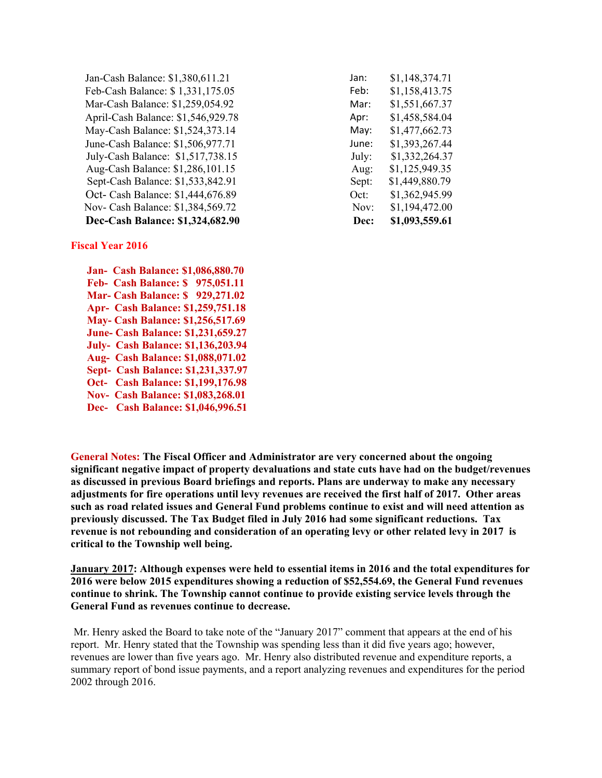| Jan-Cash Balance: \$1,380,611.21   | Jan:  | \$1,148,374.71 |
|------------------------------------|-------|----------------|
| Feb-Cash Balance: \$1,331,175.05   | Feb:  | \$1,158,413.75 |
| Mar-Cash Balance: \$1,259,054.92   | Mar:  | \$1,551,667.37 |
| April-Cash Balance: \$1,546,929.78 | Apr:  | \$1,458,584.04 |
| May-Cash Balance: \$1,524,373.14   | May:  | \$1,477,662.73 |
| June-Cash Balance: \$1,506,977.71  | June: | \$1,393,267.44 |
| July-Cash Balance: \$1,517,738.15  | July: | \$1,332,264.37 |
| Aug-Cash Balance: \$1,286,101.15   | Aug:  | \$1,125,949.35 |
| Sept-Cash Balance: \$1,533,842.91  | Sept: | \$1,449,880.79 |
| Oct- Cash Balance: \$1,444,676.89  | Oct:  | \$1,362,945.99 |
| Nov- Cash Balance: \$1,384,569.72  | Nov:  | \$1,194,472.00 |
| Dec-Cash Balance: \$1,324,682.90   | Dec:  | \$1,093,559.61 |

| lan:            | \$1,148,374.71 |
|-----------------|----------------|
| -eb:            | \$1,158,413.75 |
| Mar:            | \$1,551,667.37 |
| Apr:            | \$1,458,584.04 |
| May:            | \$1,477,662.73 |
| lune:           | \$1,393,267.44 |
| July:           | \$1,332,264.37 |
| Aug:            | \$1,125,949.35 |
| Sept:           | \$1,449,880.79 |
| $\nobreak$ Dct: | \$1,362,945.99 |
| Nov:            | \$1,194,472.00 |
| Dec:            | \$1,093,559.61 |

#### **Fiscal Year 2016**

 **Jan- Cash Balance: \$1,086,880.70 Feb- Cash Balance: \$ 975,051.11 Mar- Cash Balance: \$ 929,271.02 Apr- Cash Balance: \$1,259,751.18 May- Cash Balance: \$1,256,517.69 June- Cash Balance: \$1,231,659.27 July- Cash Balance: \$1,136,203.94 Aug- Cash Balance: \$1,088,071.02 Sept- Cash Balance: \$1,231,337.97 Oct- Cash Balance: \$1,199,176.98 Nov- Cash Balance: \$1,083,268.01 Dec- Cash Balance: \$1,046,996.51** 

**General Notes: The Fiscal Officer and Administrator are very concerned about the ongoing significant negative impact of property devaluations and state cuts have had on the budget/revenues as discussed in previous Board briefings and reports. Plans are underway to make any necessary adjustments for fire operations until levy revenues are received the first half of 2017. Other areas such as road related issues and General Fund problems continue to exist and will need attention as previously discussed. The Tax Budget filed in July 2016 had some significant reductions. Tax revenue is not rebounding and consideration of an operating levy or other related levy in 2017 is critical to the Township well being.** 

**January 2017: Although expenses were held to essential items in 2016 and the total expenditures for 2016 were below 2015 expenditures showing a reduction of \$52,554.69, the General Fund revenues continue to shrink. The Township cannot continue to provide existing service levels through the General Fund as revenues continue to decrease.** 

Mr. Henry asked the Board to take note of the "January 2017" comment that appears at the end of his report. Mr. Henry stated that the Township was spending less than it did five years ago; however, revenues are lower than five years ago. Mr. Henry also distributed revenue and expenditure reports, a summary report of bond issue payments, and a report analyzing revenues and expenditures for the period 2002 through 2016.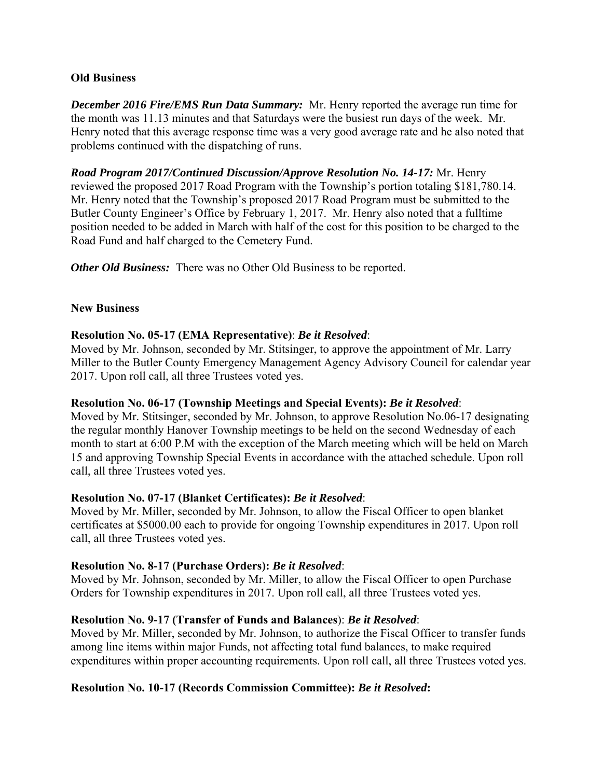### **Old Business**

*December 2016 Fire/EMS Run Data Summary:* Mr. Henry reported the average run time for the month was 11.13 minutes and that Saturdays were the busiest run days of the week. Mr. Henry noted that this average response time was a very good average rate and he also noted that problems continued with the dispatching of runs.

*Road Program 2017/Continued Discussion/Approve Resolution No. 14-17:* Mr. Henry reviewed the proposed 2017 Road Program with the Township's portion totaling \$181,780.14. Mr. Henry noted that the Township's proposed 2017 Road Program must be submitted to the Butler County Engineer's Office by February 1, 2017. Mr. Henry also noted that a fulltime position needed to be added in March with half of the cost for this position to be charged to the Road Fund and half charged to the Cemetery Fund.

*Other Old Business:* There was no Other Old Business to be reported.

### **New Business**

### **Resolution No. 05-17 (EMA Representative)**: *Be it Resolved*:

Moved by Mr. Johnson, seconded by Mr. Stitsinger, to approve the appointment of Mr. Larry Miller to the Butler County Emergency Management Agency Advisory Council for calendar year 2017. Upon roll call, all three Trustees voted yes.

### **Resolution No. 06-17 (Township Meetings and Special Events):** *Be it Resolved*:

Moved by Mr. Stitsinger, seconded by Mr. Johnson, to approve Resolution No.06-17 designating the regular monthly Hanover Township meetings to be held on the second Wednesday of each month to start at 6:00 P.M with the exception of the March meeting which will be held on March 15 and approving Township Special Events in accordance with the attached schedule. Upon roll call, all three Trustees voted yes.

### **Resolution No. 07-17 (Blanket Certificates):** *Be it Resolved*:

Moved by Mr. Miller, seconded by Mr. Johnson, to allow the Fiscal Officer to open blanket certificates at \$5000.00 each to provide for ongoing Township expenditures in 2017. Upon roll call, all three Trustees voted yes.

### **Resolution No. 8-17 (Purchase Orders):** *Be it Resolved*:

Moved by Mr. Johnson, seconded by Mr. Miller, to allow the Fiscal Officer to open Purchase Orders for Township expenditures in 2017. Upon roll call, all three Trustees voted yes.

### **Resolution No. 9-17 (Transfer of Funds and Balances**): *Be it Resolved*:

Moved by Mr. Miller, seconded by Mr. Johnson, to authorize the Fiscal Officer to transfer funds among line items within major Funds, not affecting total fund balances, to make required expenditures within proper accounting requirements. Upon roll call, all three Trustees voted yes.

## **Resolution No. 10-17 (Records Commission Committee):** *Be it Resolved***:**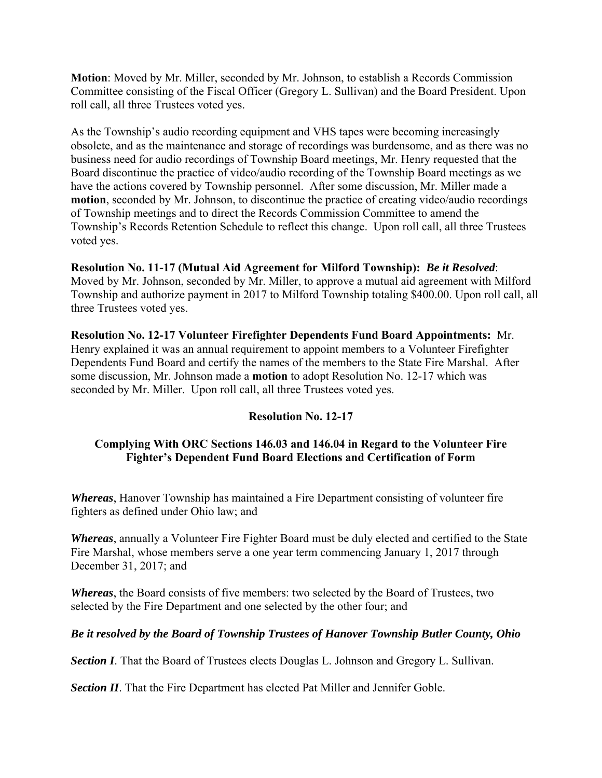**Motion**: Moved by Mr. Miller, seconded by Mr. Johnson, to establish a Records Commission Committee consisting of the Fiscal Officer (Gregory L. Sullivan) and the Board President. Upon roll call, all three Trustees voted yes.

As the Township's audio recording equipment and VHS tapes were becoming increasingly obsolete, and as the maintenance and storage of recordings was burdensome, and as there was no business need for audio recordings of Township Board meetings, Mr. Henry requested that the Board discontinue the practice of video/audio recording of the Township Board meetings as we have the actions covered by Township personnel. After some discussion, Mr. Miller made a **motion**, seconded by Mr. Johnson, to discontinue the practice of creating video/audio recordings of Township meetings and to direct the Records Commission Committee to amend the Township's Records Retention Schedule to reflect this change. Upon roll call, all three Trustees voted yes.

## **Resolution No. 11-17 (Mutual Aid Agreement for Milford Township):** *Be it Resolved*:

Moved by Mr. Johnson, seconded by Mr. Miller, to approve a mutual aid agreement with Milford Township and authorize payment in 2017 to Milford Township totaling \$400.00. Upon roll call, all three Trustees voted yes.

**Resolution No. 12-17 Volunteer Firefighter Dependents Fund Board Appointments:** Mr. Henry explained it was an annual requirement to appoint members to a Volunteer Firefighter Dependents Fund Board and certify the names of the members to the State Fire Marshal. After some discussion, Mr. Johnson made a **motion** to adopt Resolution No. 12-17 which was seconded by Mr. Miller. Upon roll call, all three Trustees voted yes.

### **Resolution No. 12-17**

## **Complying With ORC Sections 146.03 and 146.04 in Regard to the Volunteer Fire Fighter's Dependent Fund Board Elections and Certification of Form**

*Whereas*, Hanover Township has maintained a Fire Department consisting of volunteer fire fighters as defined under Ohio law; and

*Whereas*, annually a Volunteer Fire Fighter Board must be duly elected and certified to the State Fire Marshal, whose members serve a one year term commencing January 1, 2017 through December 31, 2017; and

*Whereas*, the Board consists of five members: two selected by the Board of Trustees, two selected by the Fire Department and one selected by the other four; and

### *Be it resolved by the Board of Township Trustees of Hanover Township Butler County, Ohio*

**Section I**. That the Board of Trustees elects Douglas L. Johnson and Gregory L. Sullivan.

**Section II**. That the Fire Department has elected Pat Miller and Jennifer Goble.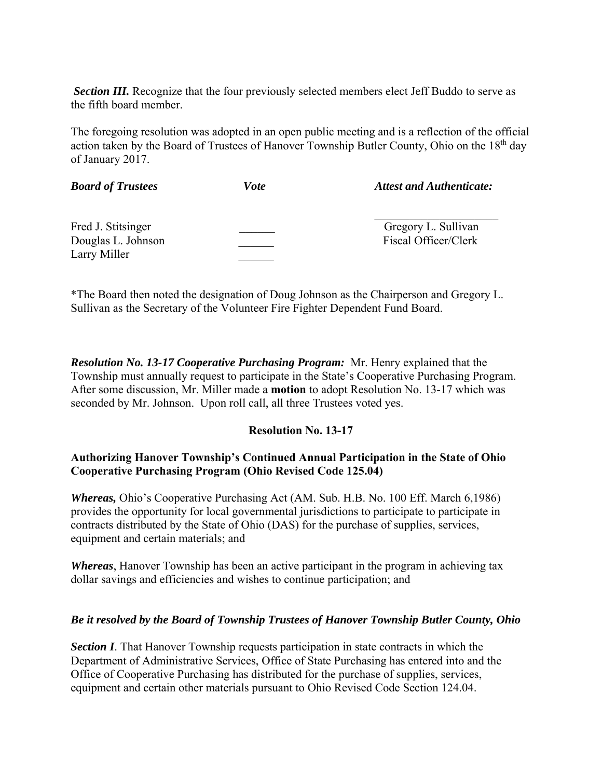**Section III.** Recognize that the four previously selected members elect Jeff Buddo to serve as the fifth board member.

The foregoing resolution was adopted in an open public meeting and is a reflection of the official action taken by the Board of Trustees of Hanover Township Butler County, Ohio on the 18<sup>th</sup> day of January 2017.

| <b>Board of Trustees</b>                                 | Vote | <b>Attest and Authenticate:</b>             |
|----------------------------------------------------------|------|---------------------------------------------|
| Fred J. Stitsinger<br>Douglas L. Johnson<br>Larry Miller |      | Gregory L. Sullivan<br>Fiscal Officer/Clerk |

\*The Board then noted the designation of Doug Johnson as the Chairperson and Gregory L. Sullivan as the Secretary of the Volunteer Fire Fighter Dependent Fund Board.

*Resolution No. 13-17 Cooperative Purchasing Program:* Mr. Henry explained that the Township must annually request to participate in the State's Cooperative Purchasing Program. After some discussion, Mr. Miller made a **motion** to adopt Resolution No. 13-17 which was seconded by Mr. Johnson. Upon roll call, all three Trustees voted yes.

## **Resolution No. 13-17**

## **Authorizing Hanover Township's Continued Annual Participation in the State of Ohio Cooperative Purchasing Program (Ohio Revised Code 125.04)**

*Whereas,* Ohio's Cooperative Purchasing Act (AM. Sub. H.B. No. 100 Eff. March 6,1986) provides the opportunity for local governmental jurisdictions to participate to participate in contracts distributed by the State of Ohio (DAS) for the purchase of supplies, services, equipment and certain materials; and

*Whereas*, Hanover Township has been an active participant in the program in achieving tax dollar savings and efficiencies and wishes to continue participation; and

### *Be it resolved by the Board of Township Trustees of Hanover Township Butler County, Ohio*

**Section I**. That Hanover Township requests participation in state contracts in which the Department of Administrative Services, Office of State Purchasing has entered into and the Office of Cooperative Purchasing has distributed for the purchase of supplies, services, equipment and certain other materials pursuant to Ohio Revised Code Section 124.04.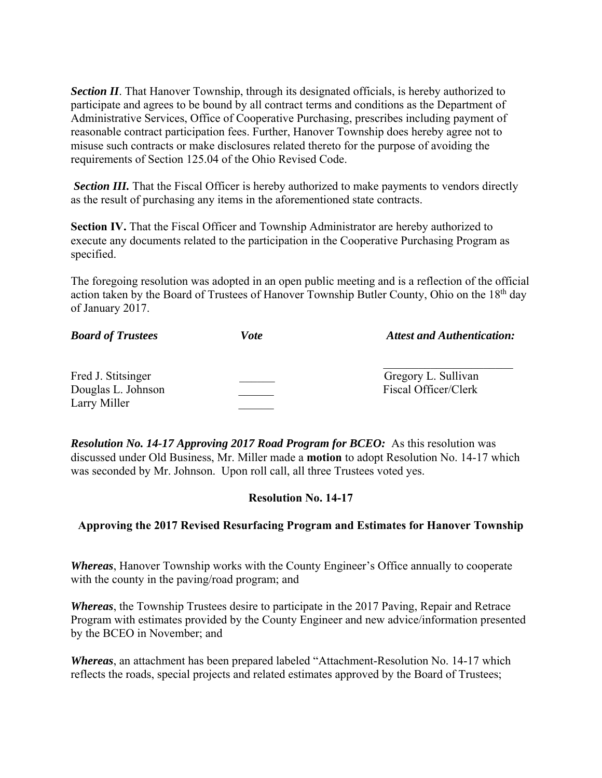**Section II**. That Hanover Township, through its designated officials, is hereby authorized to participate and agrees to be bound by all contract terms and conditions as the Department of Administrative Services, Office of Cooperative Purchasing, prescribes including payment of reasonable contract participation fees. Further, Hanover Township does hereby agree not to misuse such contracts or make disclosures related thereto for the purpose of avoiding the requirements of Section 125.04 of the Ohio Revised Code.

**Section III.** That the Fiscal Officer is hereby authorized to make payments to vendors directly as the result of purchasing any items in the aforementioned state contracts.

**Section IV.** That the Fiscal Officer and Township Administrator are hereby authorized to execute any documents related to the participation in the Cooperative Purchasing Program as specified.

The foregoing resolution was adopted in an open public meeting and is a reflection of the official action taken by the Board of Trustees of Hanover Township Butler County, Ohio on the 18<sup>th</sup> day of January 2017.

| <b>Board of Trustees</b>                                 | Vote | <b>Attest and Authentication:</b>           |
|----------------------------------------------------------|------|---------------------------------------------|
| Fred J. Stitsinger<br>Douglas L. Johnson<br>Larry Miller |      | Gregory L. Sullivan<br>Fiscal Officer/Clerk |

*Resolution No. 14-17 Approving 2017 Road Program for BCEO:* As this resolution was discussed under Old Business, Mr. Miller made a **motion** to adopt Resolution No. 14-17 which was seconded by Mr. Johnson. Upon roll call, all three Trustees voted yes.

### **Resolution No. 14-17**

## **Approving the 2017 Revised Resurfacing Program and Estimates for Hanover Township**

*Whereas*, Hanover Township works with the County Engineer's Office annually to cooperate with the county in the paving/road program; and

*Whereas*, the Township Trustees desire to participate in the 2017 Paving, Repair and Retrace Program with estimates provided by the County Engineer and new advice/information presented by the BCEO in November; and

*Whereas*, an attachment has been prepared labeled "Attachment-Resolution No. 14-17 which reflects the roads, special projects and related estimates approved by the Board of Trustees;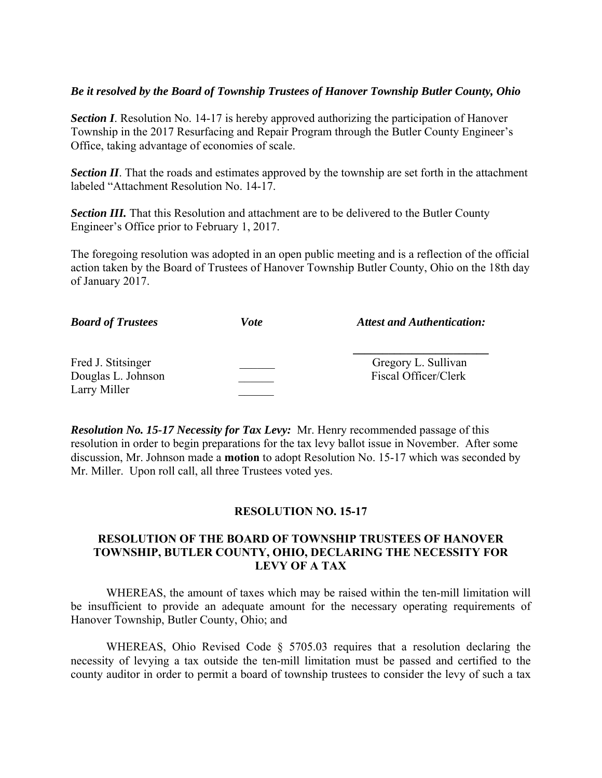### *Be it resolved by the Board of Township Trustees of Hanover Township Butler County, Ohio*

*Section I*. Resolution No. 14-17 is hereby approved authorizing the participation of Hanover Township in the 2017 Resurfacing and Repair Program through the Butler County Engineer's Office, taking advantage of economies of scale.

*Section II*. That the roads and estimates approved by the township are set forth in the attachment labeled "Attachment Resolution No. 14-17.

**Section III.** That this Resolution and attachment are to be delivered to the Butler County Engineer's Office prior to February 1, 2017.

The foregoing resolution was adopted in an open public meeting and is a reflection of the official action taken by the Board of Trustees of Hanover Township Butler County, Ohio on the 18th day of January 2017.

| <b>Board of Trustees</b>                                 | Vote | <b>Attest and Authentication:</b>           |
|----------------------------------------------------------|------|---------------------------------------------|
| Fred J. Stitsinger<br>Douglas L. Johnson<br>Larry Miller |      | Gregory L. Sullivan<br>Fiscal Officer/Clerk |

*Resolution No. 15-17 Necessity for Tax Levy:* Mr. Henry recommended passage of this resolution in order to begin preparations for the tax levy ballot issue in November. After some discussion, Mr. Johnson made a **motion** to adopt Resolution No. 15-17 which was seconded by Mr. Miller. Upon roll call, all three Trustees voted yes.

### **RESOLUTION NO. 15-17**

### **RESOLUTION OF THE BOARD OF TOWNSHIP TRUSTEES OF HANOVER TOWNSHIP, BUTLER COUNTY, OHIO, DECLARING THE NECESSITY FOR LEVY OF A TAX**

 WHEREAS, the amount of taxes which may be raised within the ten-mill limitation will be insufficient to provide an adequate amount for the necessary operating requirements of Hanover Township, Butler County, Ohio; and

WHEREAS, Ohio Revised Code § 5705.03 requires that a resolution declaring the necessity of levying a tax outside the ten-mill limitation must be passed and certified to the county auditor in order to permit a board of township trustees to consider the levy of such a tax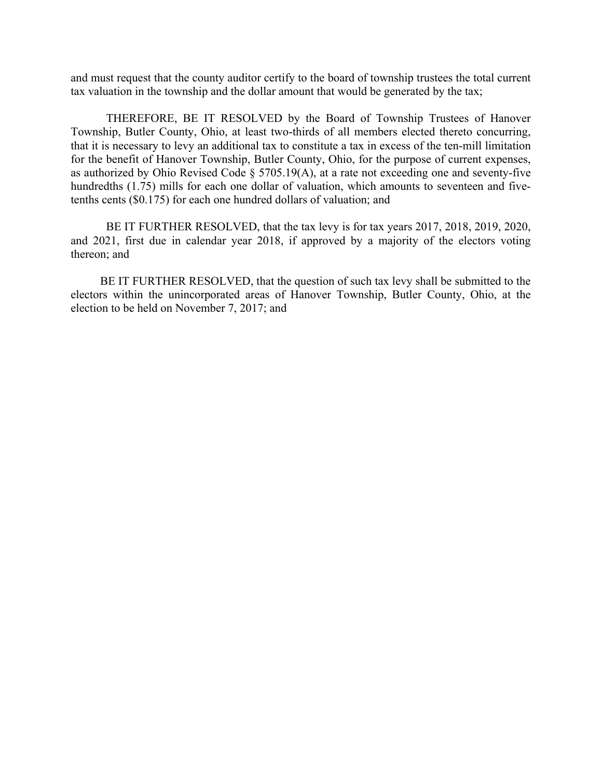and must request that the county auditor certify to the board of township trustees the total current tax valuation in the township and the dollar amount that would be generated by the tax;

 THEREFORE, BE IT RESOLVED by the Board of Township Trustees of Hanover Township, Butler County, Ohio, at least two-thirds of all members elected thereto concurring, that it is necessary to levy an additional tax to constitute a tax in excess of the ten-mill limitation for the benefit of Hanover Township, Butler County, Ohio, for the purpose of current expenses, as authorized by Ohio Revised Code § 5705.19(A), at a rate not exceeding one and seventy-five hundredths (1.75) mills for each one dollar of valuation, which amounts to seventeen and fivetenths cents (\$0.175) for each one hundred dollars of valuation; and

 BE IT FURTHER RESOLVED, that the tax levy is for tax years 2017, 2018, 2019, 2020, and 2021, first due in calendar year 2018, if approved by a majority of the electors voting thereon; and

 BE IT FURTHER RESOLVED, that the question of such tax levy shall be submitted to the electors within the unincorporated areas of Hanover Township, Butler County, Ohio, at the election to be held on November 7, 2017; and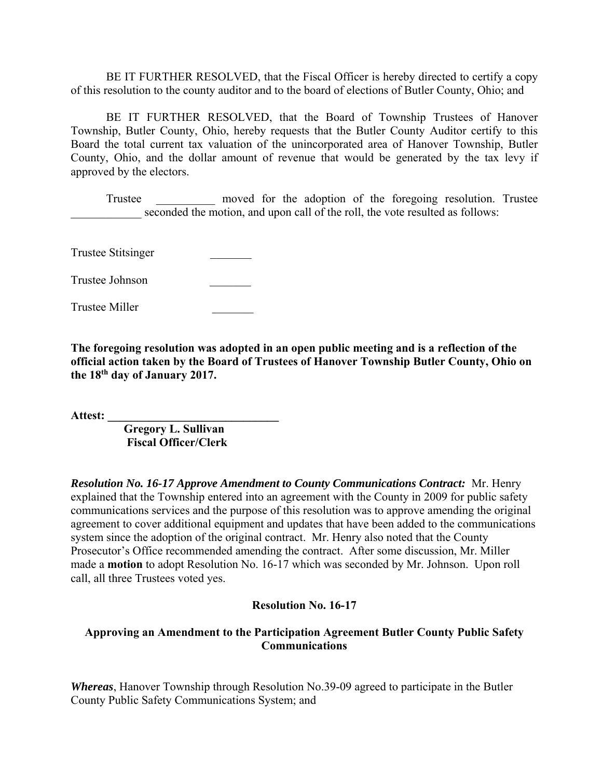BE IT FURTHER RESOLVED, that the Fiscal Officer is hereby directed to certify a copy of this resolution to the county auditor and to the board of elections of Butler County, Ohio; and

 BE IT FURTHER RESOLVED, that the Board of Township Trustees of Hanover Township, Butler County, Ohio, hereby requests that the Butler County Auditor certify to this Board the total current tax valuation of the unincorporated area of Hanover Township, Butler County, Ohio, and the dollar amount of revenue that would be generated by the tax levy if approved by the electors.

 Trustee \_\_\_\_\_\_\_\_\_\_ moved for the adoption of the foregoing resolution. Trustee seconded the motion, and upon call of the roll, the vote resulted as follows:

Trustee Stitsinger \_\_\_\_\_\_\_

Trustee Johnson \_\_\_\_\_\_\_

Trustee Miller \_\_\_\_\_\_\_

**The foregoing resolution was adopted in an open public meeting and is a reflection of the official action taken by the Board of Trustees of Hanover Township Butler County, Ohio on the 18th day of January 2017.** 

**Attest: \_\_\_\_\_\_\_\_\_\_\_\_\_\_\_\_\_\_\_\_\_\_\_\_\_\_\_\_\_** 

 **Gregory L. Sullivan Fiscal Officer/Clerk** 

*Resolution No. 16-17 Approve Amendment to County Communications Contract:* Mr. Henry explained that the Township entered into an agreement with the County in 2009 for public safety communications services and the purpose of this resolution was to approve amending the original agreement to cover additional equipment and updates that have been added to the communications system since the adoption of the original contract. Mr. Henry also noted that the County Prosecutor's Office recommended amending the contract. After some discussion, Mr. Miller made a **motion** to adopt Resolution No. 16-17 which was seconded by Mr. Johnson. Upon roll call, all three Trustees voted yes.

### **Resolution No. 16-17**

## **Approving an Amendment to the Participation Agreement Butler County Public Safety Communications**

*Whereas*, Hanover Township through Resolution No.39-09 agreed to participate in the Butler County Public Safety Communications System; and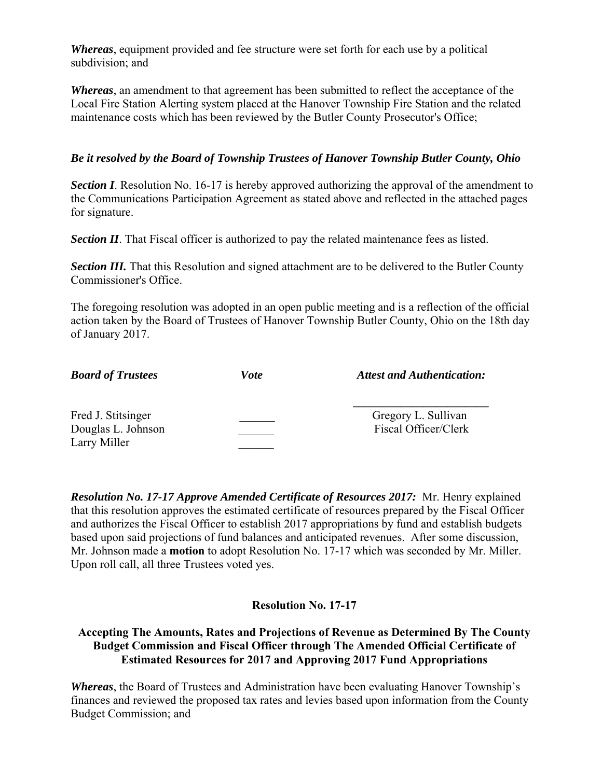*Whereas*, equipment provided and fee structure were set forth for each use by a political subdivision; and

*Whereas*, an amendment to that agreement has been submitted to reflect the acceptance of the Local Fire Station Alerting system placed at the Hanover Township Fire Station and the related maintenance costs which has been reviewed by the Butler County Prosecutor's Office;

## *Be it resolved by the Board of Township Trustees of Hanover Township Butler County, Ohio*

**Section I**. Resolution No. 16-17 is hereby approved authorizing the approval of the amendment to the Communications Participation Agreement as stated above and reflected in the attached pages for signature.

**Section II**. That Fiscal officer is authorized to pay the related maintenance fees as listed.

**Section III.** That this Resolution and signed attachment are to be delivered to the Butler County Commissioner's Office.

The foregoing resolution was adopted in an open public meeting and is a reflection of the official action taken by the Board of Trustees of Hanover Township Butler County, Ohio on the 18th day of January 2017.

| <b>Board of Trustees</b>                                 | Vote | <b>Attest and Authentication:</b>           |
|----------------------------------------------------------|------|---------------------------------------------|
| Fred J. Stitsinger<br>Douglas L. Johnson<br>Larry Miller |      | Gregory L. Sullivan<br>Fiscal Officer/Clerk |

*Resolution No. 17-17 Approve Amended Certificate of Resources 2017:* Mr. Henry explained that this resolution approves the estimated certificate of resources prepared by the Fiscal Officer and authorizes the Fiscal Officer to establish 2017 appropriations by fund and establish budgets based upon said projections of fund balances and anticipated revenues. After some discussion, Mr. Johnson made a **motion** to adopt Resolution No. 17-17 which was seconded by Mr. Miller. Upon roll call, all three Trustees voted yes.

## **Resolution No. 17-17**

**Accepting The Amounts, Rates and Projections of Revenue as Determined By The County Budget Commission and Fiscal Officer through The Amended Official Certificate of Estimated Resources for 2017 and Approving 2017 Fund Appropriations** 

*Whereas*, the Board of Trustees and Administration have been evaluating Hanover Township's finances and reviewed the proposed tax rates and levies based upon information from the County Budget Commission; and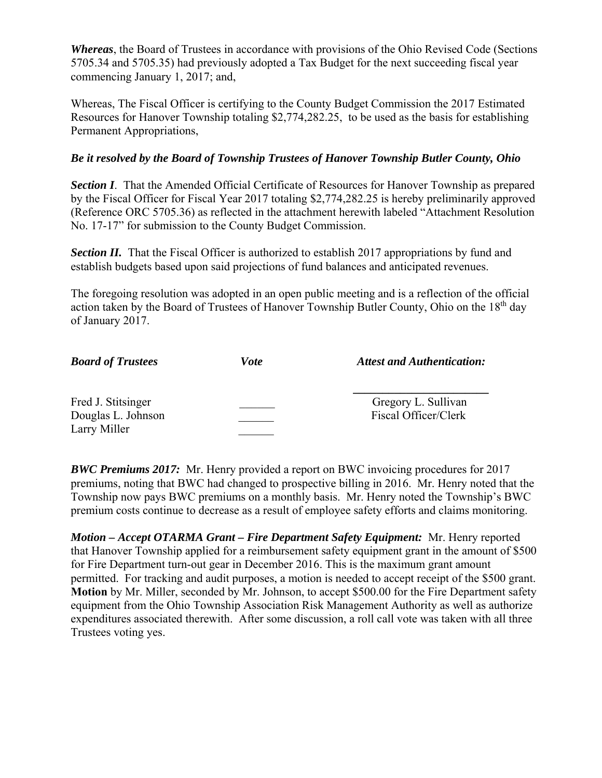*Whereas*, the Board of Trustees in accordance with provisions of the Ohio Revised Code (Sections 5705.34 and 5705.35) had previously adopted a Tax Budget for the next succeeding fiscal year commencing January 1, 2017; and,

Whereas, The Fiscal Officer is certifying to the County Budget Commission the 2017 Estimated Resources for Hanover Township totaling \$2,774,282.25, to be used as the basis for establishing Permanent Appropriations,

## *Be it resolved by the Board of Township Trustees of Hanover Township Butler County, Ohio*

**Section I.** That the Amended Official Certificate of Resources for Hanover Township as prepared by the Fiscal Officer for Fiscal Year 2017 totaling \$2,774,282.25 is hereby preliminarily approved (Reference ORC 5705.36) as reflected in the attachment herewith labeled "Attachment Resolution No. 17-17" for submission to the County Budget Commission.

**Section II.** That the Fiscal Officer is authorized to establish 2017 appropriations by fund and establish budgets based upon said projections of fund balances and anticipated revenues.

The foregoing resolution was adopted in an open public meeting and is a reflection of the official action taken by the Board of Trustees of Hanover Township Butler County, Ohio on the 18<sup>th</sup> day of January 2017.

| <b>Board of Trustees</b>                                 | Vote | <b>Attest and Authentication:</b>           |
|----------------------------------------------------------|------|---------------------------------------------|
| Fred J. Stitsinger<br>Douglas L. Johnson<br>Larry Miller |      | Gregory L. Sullivan<br>Fiscal Officer/Clerk |

*BWC Premiums 2017:* Mr. Henry provided a report on BWC invoicing procedures for 2017 premiums, noting that BWC had changed to prospective billing in 2016. Mr. Henry noted that the Township now pays BWC premiums on a monthly basis. Mr. Henry noted the Township's BWC premium costs continue to decrease as a result of employee safety efforts and claims monitoring.

*Motion – Accept OTARMA Grant – Fire Department Safety Equipment:* Mr. Henry reported that Hanover Township applied for a reimbursement safety equipment grant in the amount of \$500 for Fire Department turn-out gear in December 2016. This is the maximum grant amount permitted. For tracking and audit purposes, a motion is needed to accept receipt of the \$500 grant. **Motion** by Mr. Miller, seconded by Mr. Johnson, to accept \$500.00 for the Fire Department safety equipment from the Ohio Township Association Risk Management Authority as well as authorize expenditures associated therewith. After some discussion, a roll call vote was taken with all three Trustees voting yes.